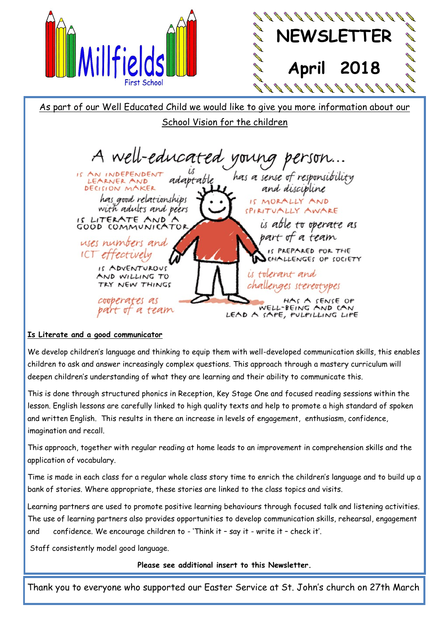



As part of our Well Educated Child we would like to give you more information about our School Vision for the children

A well-educated young IS AN INDEPENDENT has a sense of responsibility LEARNER AND DECISION MAKER and discipline has good relationships IS MORALLY AND with adults and peers SPIRITUALLY AWARE IS LITERATE AND is able to operate as GOOD COMMUNICATOR part of a team uses numbers and IS PREPARED FOR THE ICT effectively CHALLENGES OP SOCIETY IS ADVENTUROUS is tolerant and AND WILLING TO TRY NEW THINGS challenges stereotypes cooperates as HAS A SENSE OP WELL-BEING AND CAN part of a team LEAD A SAPE, PULPILLING LIPE

#### **Is Literate and a good communicator**

We develop children's language and thinking to equip them with well-developed communication skills, this enables children to ask and answer increasingly complex questions. This approach through a mastery curriculum will deepen children's understanding of what they are learning and their ability to communicate this.

This is done through structured phonics in Reception, Key Stage One and focused reading sessions within the lesson. English lessons are carefully linked to high quality texts and help to promote a high standard of spoken and written English. This results in there an increase in levels of engagement, enthusiasm, confidence, imagination and recall.

This approach, together with regular reading at home leads to an improvement in comprehension skills and the application of vocabulary.

Time is made in each class for a regular whole class story time to enrich the children's language and to build up a bank of stories. Where appropriate, these stories are linked to the class topics and visits.

Learning partners are used to promote positive learning behaviours through focused talk and listening activities. The use of learning partners also provides opportunities to develop communication skills, rehearsal, engagement and confidence. We encourage children to - 'Think it – say it - write it – check it'.

Staff consistently model good language.

**Please see additional insert to this Newsletter.** 

Thank you to everyone who supported our Easter Service at St. John's church on 27th March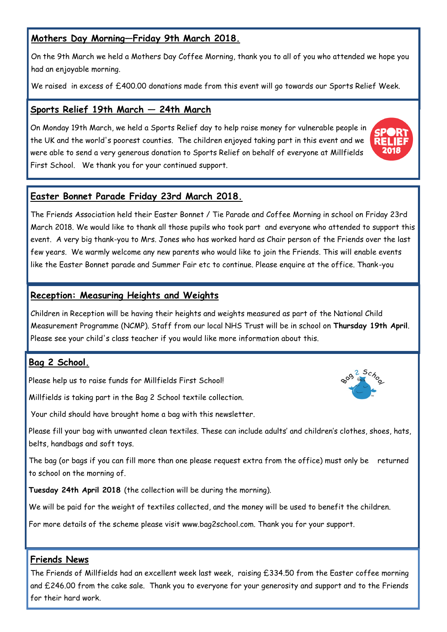# **Mothers Day Morning—Friday 9th March 2018.**

On the 9th March we held a Mothers Day Coffee Morning, thank you to all of you who attended we hope you had an enjoyable morning.

We raised in excess of £400.00 donations made from this event will go towards our Sports Relief Week.

#### **Sports Relief 19th March — 24th March**

On Monday 19th March, we held a Sports Relief day to help raise money for vulnerable people in the UK and the world's poorest counties. The children enjoyed taking part in this event and we were able to send a very generous donation to Sports Relief on behalf of everyone at Millfields First School. We thank you for your continued support.



The Friends Association held their Easter Bonnet / Tie Parade and Coffee Morning in school on Friday 23rd March 2018. We would like to thank all those pupils who took part and everyone who attended to support this event. A very big thank-you to Mrs. Jones who has worked hard as Chair person of the Friends over the last few years. We warmly welcome any new parents who would like to join the Friends. This will enable events like the Easter Bonnet parade and Summer Fair etc to continue. Please enquire at the office. Thank-you

#### **Reception: Measuring Heights and Weights**

Children in Reception will be having their heights and weights measured as part of the National Child Measurement Programme (NCMP). Staff from our local NHS Trust will be in school on **Thursday 19th April**. Please see your child's class teacher if you would like more information about this.

## **Bag 2 School.**

Please help us to raise funds for Millfields First School!

Millfields is taking part in the Bag 2 School textile collection.

Your child should have brought home a bag with this newsletter.

Please fill your bag with unwanted clean textiles. These can include adults' and children's clothes, shoes, hats, belts, handbags and soft toys.

The bag (or bags if you can fill more than one please request extra from the office) must only be returned to school on the morning of.

**Tuesday 24th April 2018** (the collection will be during the morning).

We will be paid for the weight of textiles collected, and the money will be used to benefit the children.

For more details of the scheme please visit www.bag2school.com. Thank you for your support.

#### **Friends News**

The Friends of Millfields had an excellent week last week, raising £334.50 from the Easter coffee morning and £246.00 from the cake sale. Thank you to everyone for your generosity and support and to the Friends for their hard work.



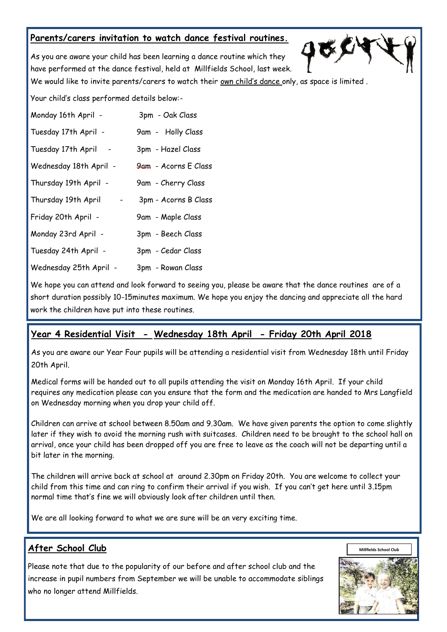## **Parents/carers invitation to watch dance festival routines.**

As you are aware your child has been learning a dance routine which they have performed at the dance festival, held at Millfields School, last week.

We would like to invite parents/carers to watch their own child's dance only, as space is limited .

びく

Your child's class performed details below:-

| Monday 16th April -    | 3pm - Oak Class      |
|------------------------|----------------------|
| Tuesday 17th April -   | 9am - Holly Class    |
| Tuesday 17th April     | 3pm - Hazel Class    |
| Wednesday 18th April - | 9am - Acorns E Class |
| Thursday 19th April -  | 9am - Cherry Class   |
| Thursday 19th April    | 3pm - Acorns B Class |
| Friday 20th April -    | 9am - Maple Class    |
| Monday 23rd April -    | 3pm - Beech Class    |
| Tuesday 24th April -   | 3pm - Cedar Class    |
| Wednesday 25th April - | 3pm - Rowan Class    |

We hope you can attend and look forward to seeing you, please be aware that the dance routines are of a short duration possibly 10-15minutes maximum. We hope you enjoy the dancing and appreciate all the hard work the children have put into these routines.

## **Year 4 Residential Visit - Wednesday 18th April - Friday 20th April 2018**

As you are aware our Year Four pupils will be attending a residential visit from Wednesday 18th until Friday 20th April.

Medical forms will be handed out to all pupils attending the visit on Monday 16th April. If your child requires any medication please can you ensure that the form and the medication are handed to Mrs Langfield on Wednesday morning when you drop your child off.

Children can arrive at school between 8.50am and 9.30am. We have given parents the option to come slightly later if they wish to avoid the morning rush with suitcases. Children need to be brought to the school hall on arrival, once your child has been dropped off you are free to leave as the coach will not be departing until a bit later in the morning.

The children will arrive back at school at around 2.30pm on Friday 20th. You are welcome to collect your child from this time and can ring to confirm their arrival if you wish. If you can't get here until 3.15pm normal time that's fine we will obviously look after children until then.

We are all looking forward to what we are sure will be an very exciting time.

## **After School Club**

Please note that due to the popularity of our before and after school club and the increase in pupil numbers from September we will be unable to accommodate siblings who no longer attend Millfields.



**Millfields School Club**